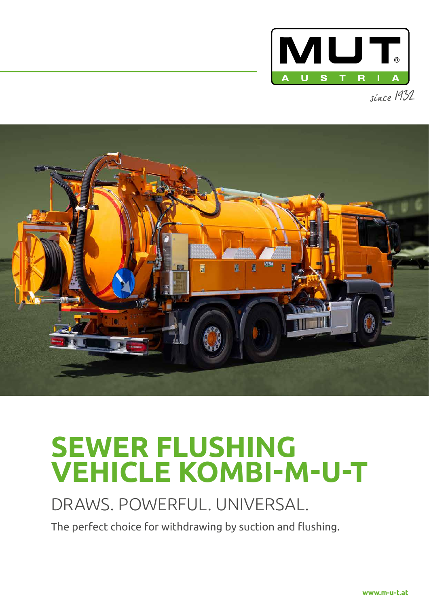



# **SEWER FLUSHING VEHICLE KOMBI-M-U-T**

# DRAWS. POWERFUL. UNIVERSAL.

The perfect choice for withdrawing by suction and flushing.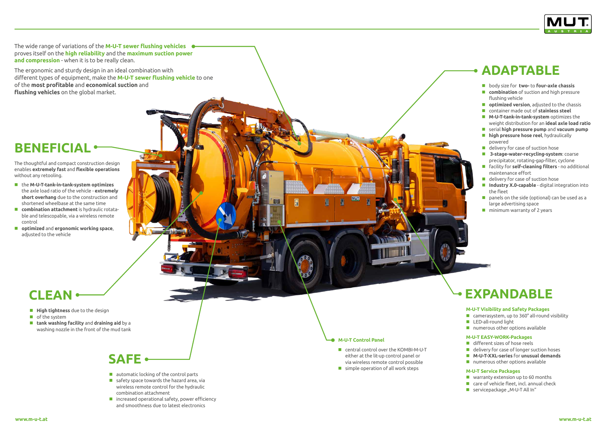The wide range of variations of the **M-U-T sewer flushing vehicles** proves itself on the **high reliability** and the **maximum suction power and compression** - when it is to be really clean.

The ergonomic and sturdy design in an ideal combination with different types of equipment, make the **M-U-T sewer flushing vehicle** to one of the **most profitable** and **economical suction** and **flushing vehicles** on the global market.

The thoughtful and compact construction design enables **extremely fast** and **flexible operations** without any retooling.

- the **M-U-T-tank-in-tank-system optimizes** the axle load ratio of the vehicle - **extremely short overhang** due to the construction and shortened wheelbase at the same time
- **combination attachment** is hydraulic rotatable and telescopable, via a wireless remote control
- **optimized** and **ergonomic working space**, adjusted to the vehicle

- **automatic locking of the control parts**
- safety space towards the hazard area, via wireless remote control for the hydraulic combination attachment
- $\blacksquare$  increased operational safety, power efficiency and smoothness due to latest electronics
- **High tightness** due to the design
- **of the system**
- **tank washing facility** and **draining aid** by a washing nozzle in the front of the mud tank
- body size for **two-** to **four-axle chassis**
- **E** combination of suction and high pressure flushing vehicle
- $\blacksquare$  **optimized version**, adjusted to the chassis
- container made out of **stainless steel**
- **M-U-T-tank-in-tank-system** optimizes the weight distribution for an **ideal axle load ratio**
- serial **high pressure pump** and **vacuum pump**
- **high pressure hose reel**, hydraulically powered
- **delivery for case of suction hose**
- **3-stage-water-recycling-system**: coarse precipitator, rotating-gap-filter, cyclone
- facility for **self-cleaning filters** no additional maintenance effort
- delivery for case of suction hose
- **Industry X.0-capable** digital integration into the fleet
- **P** panels on the side (optional) can be used as a large advertising space
- **n** minimum warranty of 2 years

#### **M-U-T Visibility and Safety Packages**

- camerasystem, up to 360° all-round visibility
- **LED-all-round light**
- **numerous other options available**

#### **M-U-T EASY-WORK-Packages**

- different sizes of hose reels
- delivery for case of longer suction hoses
- **M-U-T-XXL-series** for **unusual demands**
- **numerous other options available**

#### **M-U-T Service Packages**

- **No** warranty extension up to 60 months
- **E** care of vehicle fleet, incl. annual check
- servicepackage "M-U-T All In"

#### **M-U-T Control Panel**

- central control over the KOMBI-M-U-T either at the lit-up control panel or via wireless remote control possible
- $\blacksquare$  simple operation of all work steps



### **EXPANDABLE**



# **CLEAN**

## **BENEFICIAL**

# **ADAPTABLE**